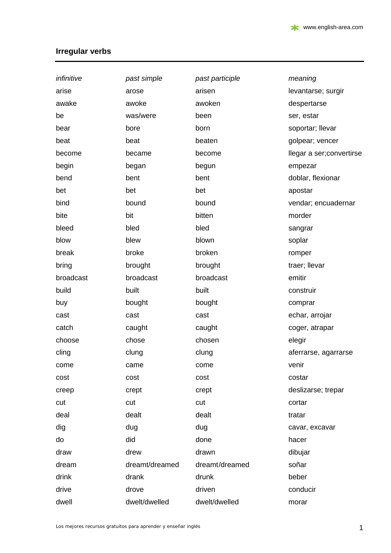## **Irregular verbs**

| infinitive | past simple    | past participle | meaning                  |
|------------|----------------|-----------------|--------------------------|
| arise      | arose          | arisen          | levantarse; surgir       |
| awake      | awoke          | awoken          | despertarse              |
| be         | was/were       | been            | ser, estar               |
| bear       | bore           | born            | soportar; llevar         |
| beat       | beat           | beaten          | golpear; vencer          |
| become     | became         | become          | llegar a ser;convertirse |
| begin      | began          | begun           | empezar                  |
| bend       | bent           | bent            | doblar, flexionar        |
| bet        | bet            | bet             | apostar                  |
| bind       | bound          | bound           | vendar; encuadernar      |
| bite       | bit            | bitten          | morder                   |
| bleed      | bled           | bled            | sangrar                  |
| blow       | blew           | blown           | soplar                   |
| break      | broke          | broken          | romper                   |
| bring      | brought        | brought         | traer; llevar            |
| broadcast  | broadcast      | broadcast       | emitir                   |
| build      | built          | built           | construir                |
| buy        | bought         | bought          | comprar                  |
| cast       | cast           | cast            | echar, arrojar           |
| catch      | caught         | caught          | coger, atrapar           |
| choose     | chose          | chosen          | elegir                   |
| cling      | clung          | clung           | aferrarse, agarrarse     |
| come       | came           | come            | venir                    |
| cost       | cost           | cost            | costar                   |
| creep      | crept          | crept           | deslizarse; trepar       |
| cut        | cut            | cut             | cortar                   |
| deal       | dealt          | dealt           | tratar                   |
| dig        | dug            | dug             | cavar, excavar           |
| do         | did            | done            | hacer                    |
| draw       | drew           | drawn           | dibujar                  |
| dream      | dreamt/dreamed | dreamt/dreamed  | soñar                    |
| drink      | drank          | drunk           | beber                    |
| drive      | drove          | driven          | conducir                 |
| dwell      | dwelt/dwelled  | dwelt/dwelled   | morar                    |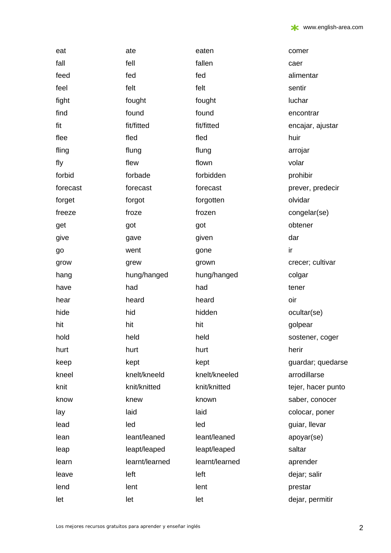| eat           | ate            | eaten          | comer              |
|---------------|----------------|----------------|--------------------|
| fall          | fell           | fallen         | caer               |
| feed          | fed            | fed            | alimentar          |
| feel          | felt           | felt           | sentir             |
|               | fought         | fought         | luchar             |
| fight<br>find | found          | found          | encontrar          |
| fit           | fit/fitted     | fit/fitted     |                    |
|               |                |                | encajar, ajustar   |
| flee          | fled           | fled           | huir               |
| fling         | flung          | flung          | arrojar            |
| fly           | flew           | flown          | volar              |
| forbid        | forbade        | forbidden      | prohibir           |
| forecast      | forecast       | forecast       | prever, predecir   |
| forget        | forgot         | forgotten      | olvidar            |
| freeze        | froze          | frozen         | congelar(se)       |
| get           | got            | got            | obtener            |
| give          | gave           | given          | dar                |
| go            | went           | gone           | ir                 |
| grow          | grew           | grown          | crecer; cultivar   |
| hang          | hung/hanged    | hung/hanged    | colgar             |
| have          | had            | had            | tener              |
| hear          | heard          | heard          | oir                |
| hide          | hid            | hidden         | ocultar(se)        |
| hit           | hit            | hit            | golpear            |
| hold          | held           | held           | sostener, coger    |
| hurt          | hurt           | hurt           | herir              |
| keep          | kept           | kept           | guardar; quedarse  |
| kneel         | knelt/kneeld   | knelt/kneeled  | arrodillarse       |
| knit          | knit/knitted   | knit/knitted   | tejer, hacer punto |
| know          | knew           | known          | saber, conocer     |
| lay           | laid           | laid           | colocar, poner     |
| lead          | led            | led            | guiar, llevar      |
| lean          | leant/leaned   | leant/leaned   | apoyar(se)         |
| leap          | leapt/leaped   | leapt/leaped   | saltar             |
| learn         | learnt/learned | learnt/learned | aprender           |
| leave         | left           | left           | dejar; salir       |
| lend          | lent           | lent           | prestar            |
| let           | let            | let            | dejar, permitir    |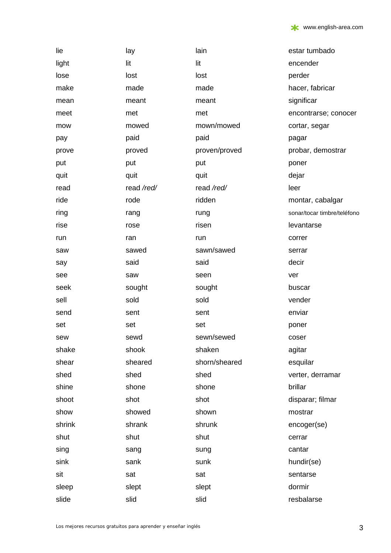| lie    | lay        | lain          | estar tumbado               |
|--------|------------|---------------|-----------------------------|
| light  | lit        | lit           | encender                    |
| lose   | lost       | lost          | perder                      |
| make   | made       | made          | hacer, fabricar             |
| mean   | meant      | meant         | significar                  |
| meet   | met        | met           | encontrarse; conocer        |
| mow    | mowed      | mown/mowed    | cortar, segar               |
| pay    | paid       | paid          | pagar                       |
| prove  | proved     | proven/proved | probar, demostrar           |
| put    | put        | put           | poner                       |
| quit   | quit       | quit          | dejar                       |
| read   | read /red/ | read /red/    | leer                        |
| ride   | rode       | ridden        | montar, cabalgar            |
| ring   | rang       | rung          | sonar/tocar timbre/teléfono |
| rise   | rose       | risen         | levantarse                  |
| run    | ran        | run           | correr                      |
| saw    | sawed      | sawn/sawed    | serrar                      |
| say    | said       | said          | decir                       |
| see    | saw        | seen          | ver                         |
| seek   | sought     | sought        | buscar                      |
| sell   | sold       | sold          | vender                      |
| send   | sent       | sent          | enviar                      |
| set    | set        | set           | poner                       |
| sew    | sewd       | sewn/sewed    | coser                       |
| shake  | shook      | shaken        | agitar                      |
| shear  | sheared    | shorn/sheared | esquilar                    |
| shed   | shed       | shed          | verter, derramar            |
| shine  | shone      | shone         | brillar                     |
| shoot  | shot       | shot          | disparar; filmar            |
| show   | showed     | shown         | mostrar                     |
| shrink | shrank     | shrunk        | encoger(se)                 |
| shut   | shut       | shut          | cerrar                      |
| sing   | sang       | sung          | cantar                      |
| sink   | sank       | sunk          | hundir(se)                  |
| sit    | sat        | sat           | sentarse                    |
| sleep  | slept      | slept         | dormir                      |
| slide  | slid       | slid          | resbalarse                  |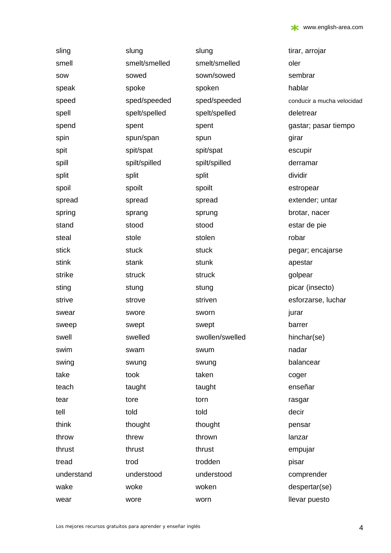| sling      | slung         | slung           | tirar, arrojar             |
|------------|---------------|-----------------|----------------------------|
| smell      | smelt/smelled | smelt/smelled   | oler                       |
| sow        | sowed         | sown/sowed      | sembrar                    |
| speak      | spoke         | spoken          | hablar                     |
| speed      | sped/speeded  | sped/speeded    | conducir a mucha velocidad |
| spell      | spelt/spelled | spelt/spelled   | deletrear                  |
| spend      | spent         | spent           | gastar; pasar tiempo       |
| spin       | spun/span     | spun            | girar                      |
| spit       | spit/spat     | spit/spat       | escupir                    |
| spill      | spilt/spilled | spilt/spilled   | derramar                   |
| split      | split         | split           | dividir                    |
| spoil      | spoilt        | spoilt          | estropear                  |
| spread     | spread        | spread          | extender; untar            |
| spring     | sprang        | sprung          | brotar, nacer              |
| stand      | stood         | stood           | estar de pie               |
| steal      | stole         | stolen          | robar                      |
| stick      | stuck         | stuck           | pegar; encajarse           |
| stink      | stank         | stunk           | apestar                    |
| strike     | struck        | struck          | golpear                    |
| sting      | stung         | stung           | picar (insecto)            |
| strive     | strove        | striven         | esforzarse, luchar         |
| swear      | swore         | sworn           | jurar                      |
| sweep      | swept         | swept           | barrer                     |
| swell      | swelled       | swollen/swelled | hinchar(se)                |
| swim       | swam          | swum            | nadar                      |
| swing      | swung         | swung           | balancear                  |
| take       | took          | taken           | coger                      |
| teach      | taught        | taught          | enseñar                    |
| tear       | tore          | torn            | rasgar                     |
| tell       | told          | told            | decir                      |
| think      | thought       | thought         | pensar                     |
| throw      | threw         | thrown          | lanzar                     |
| thrust     | thrust        | thrust          | empujar                    |
| tread      | trod          | trodden         | pisar                      |
| understand | understood    | understood      | comprender                 |
| wake       | woke          | woken           | despertar(se)              |
| wear       | wore          | worn            | llevar puesto              |